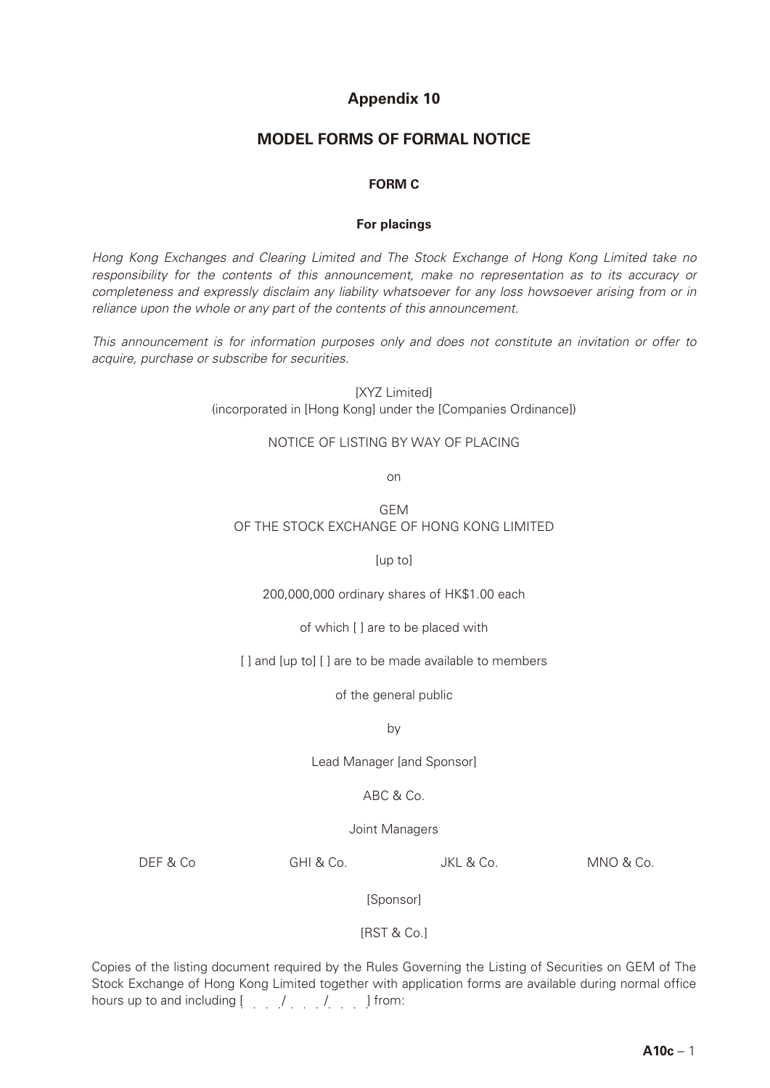# **Appendix 10**

## **MODEL FORMS OF FORMAL NOTICE**

### **FORM C**

#### **For placings**

*Hong Kong Exchanges and Clearing Limited and The Stock Exchange of Hong Kong Limited take no responsibility for the contents of this announcement, make no representation as to its accuracy or completeness and expressly disclaim any liability whatsoever for any loss howsoever arising from or in reliance upon the whole or any part of the contents of this announcement.*

*This announcement is for information purposes only and does not constitute an invitation or offer to acquire, purchase or subscribe for securities.*

> **[XYZ Limited]** (incorporated in [Hong Kong] under the [Companies Ordinance])

#### NOTICE OF LISTING BY WAY OF PLACING

on

GEM OF THE STOCK EXCHANGE OF HONG KONG LIMITED

[up to]

200,000,000 ordinary shares of HK\$1.00 each

of which [ ] are to be placed with

[] and [up to] [] are to be made available to members

of the general public

by

Lead Manager [and Sponsor]

## ABC & Co.

Joint Managers

DEF & Co GHI & Co. JKL & Co. MNO & Co.

[Sponsor]

[RST & Co.]

Copies of the listing document required by the Rules Governing the Listing of Securities on GEM of The Stock Exchange of Hong Kong Limited together with application forms are available during normal office hours up to and including [ / / ] from: